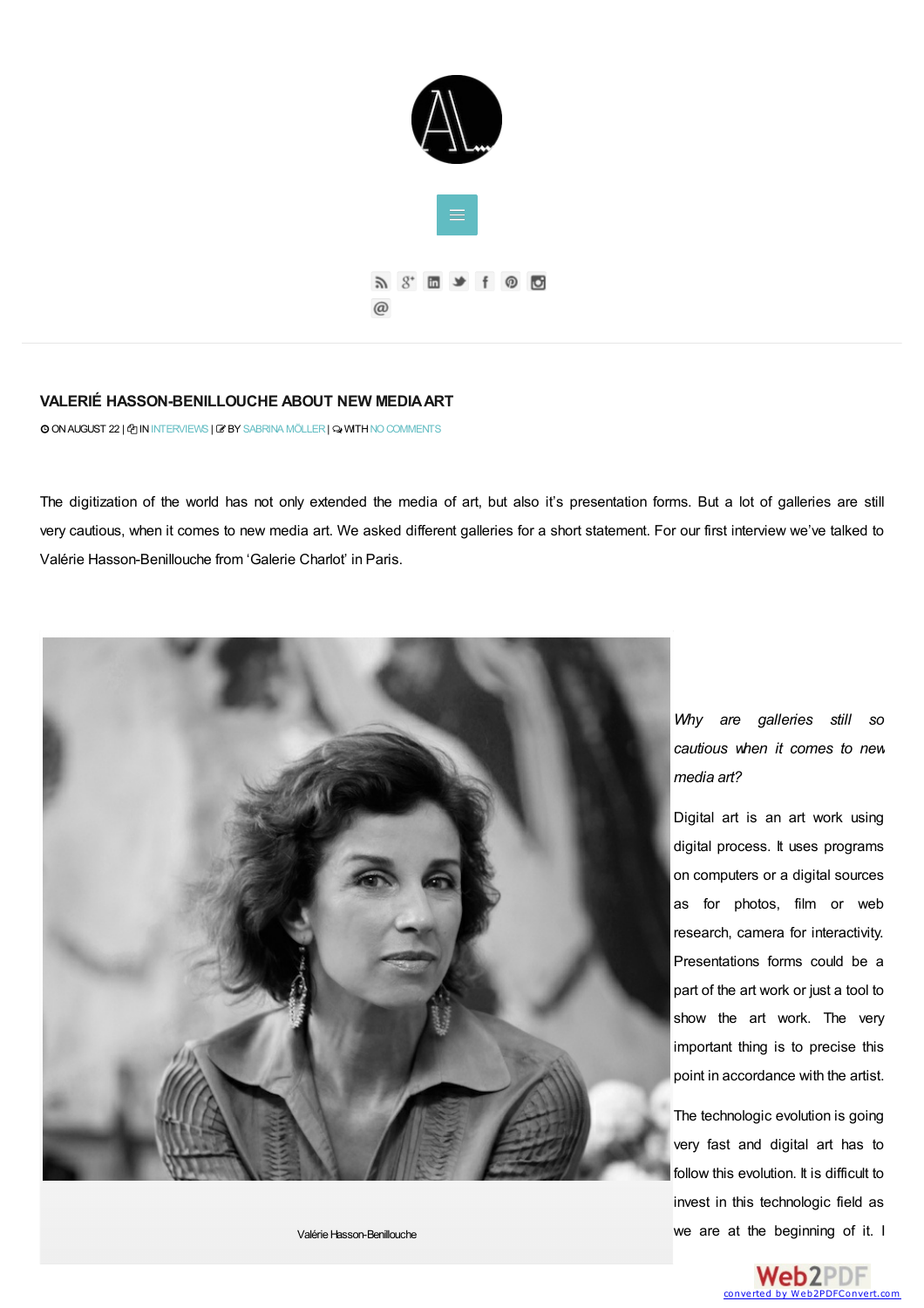

## **VALERIÉ [HASSON-BENILLOUCHE](#page-3-0) ABOUT NEW MEDIAART**

O ON AUGUST 22 |  $\Phi$  IN [INTERVIEWS](http://www.artandsignature.com/category/interviews/) |  $\bm{B}$  BY [SABRINA](http://www.artandsignature.com/author/wordpressadmin/) MÖLLER |  $\bm{\odot}$  WITH NO COMMENTS

The digitization of the world has not only extended the media of art, but also it's presentation forms. But a lot of galleries are still very cautious, when it comes to new media art. We asked different galleries for a short statement. For our first interview we've talked to Valérie Hasson-Benillouche from 'Galerie Charlot' in Paris.



*Why are galleries still so cautious when it comes to new media art?*

Digital art is an art work using digital process. It uses programs on computers or a digital sources as for photos, film or web research, camera for interactivity. Presentations forms could be a part of the art work or just a tool to show the art work. The very important thing is to precise this point in accordance with the artist.

The technologic evolution is going very fast and digital art has to follow this evolution. It is difficult to invest in this technologic field as we are at the [beginning](http://www.web2pdfconvert.com?ref=PDF) of it. I

ValérieHasson-Benillouche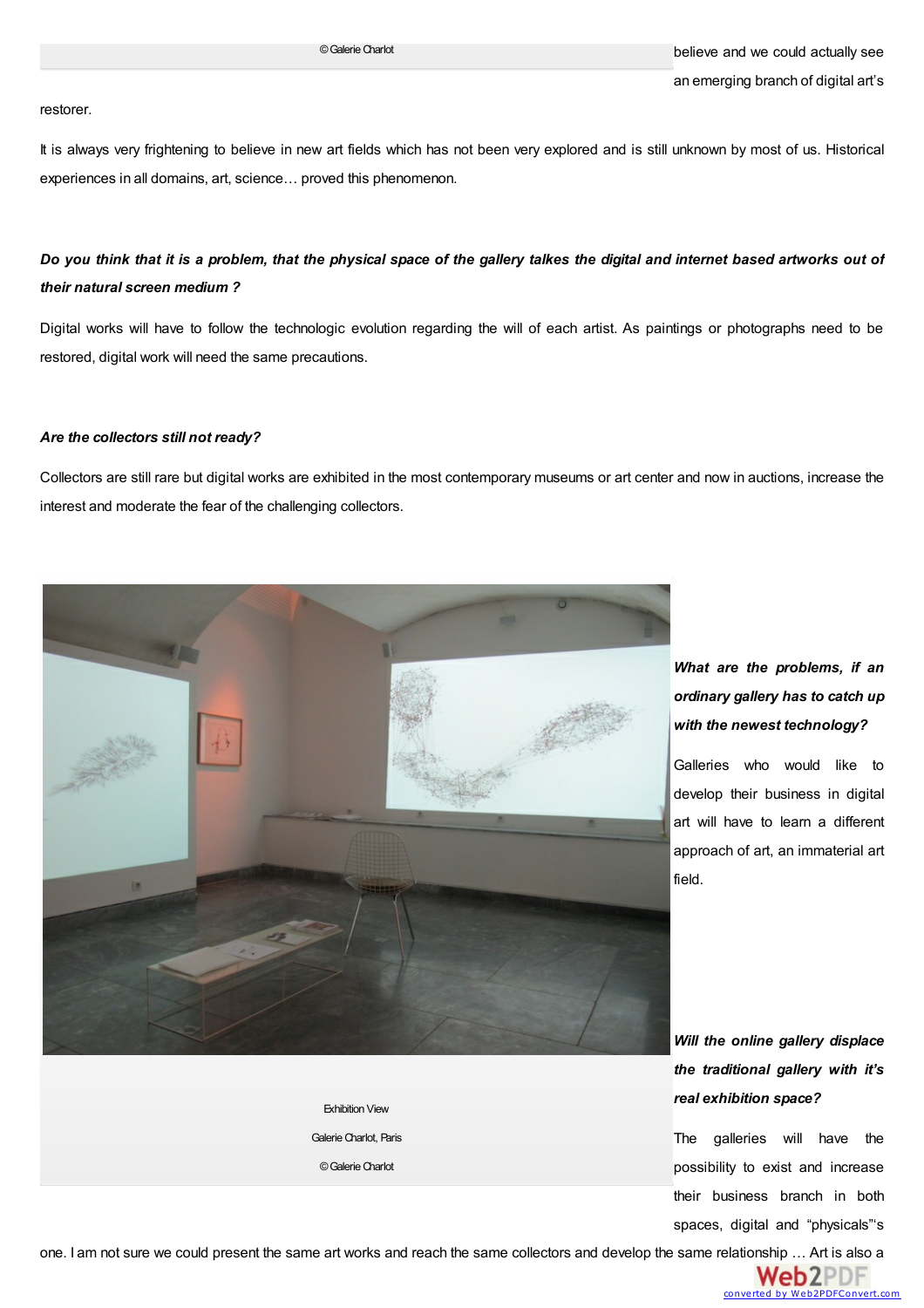#### restorer.

It is always very frightening to believe in new art fields which has not been very explored and is still unknown by most of us. Historical experiences in all domains, art, science… proved this phenomenon.

## Do you think that it is a problem, that the physical space of the gallery talkes the digital and internet based artworks out of *their natural screen medium ?*

Digital works will have to follow the technologic evolution regarding the will of each artist. As paintings or photographs need to be restored, digital work will need the same precautions.

## *Are the collectors still not ready?*

Collectors are still rare but digital works are exhibited in the most contemporary museums or art center and now in auctions, increase the interest and moderate the fear of the challenging collectors.



Exhibition View Galerie Charlot, Paris ©GalerieCharlot

# *What are the problems, if an ordinary gallery has to catch up with the newest technology?*

Galleries who would like to develop their business in digital art will have to learn a different approach of art, an immaterial art field.

*Will the online gallery displace the traditional gallery with it's real exhibition space?*

The galleries will have the possibility to exist and increase their business branch in both spaces, digital and "physicals"'s

one. I am not sure we could present the same art works and reach the same collectors and develop the same r[elationship](http://www.web2pdfconvert.com?ref=PDF) … Art is also a

Web2PDF Web2PDFConvert.com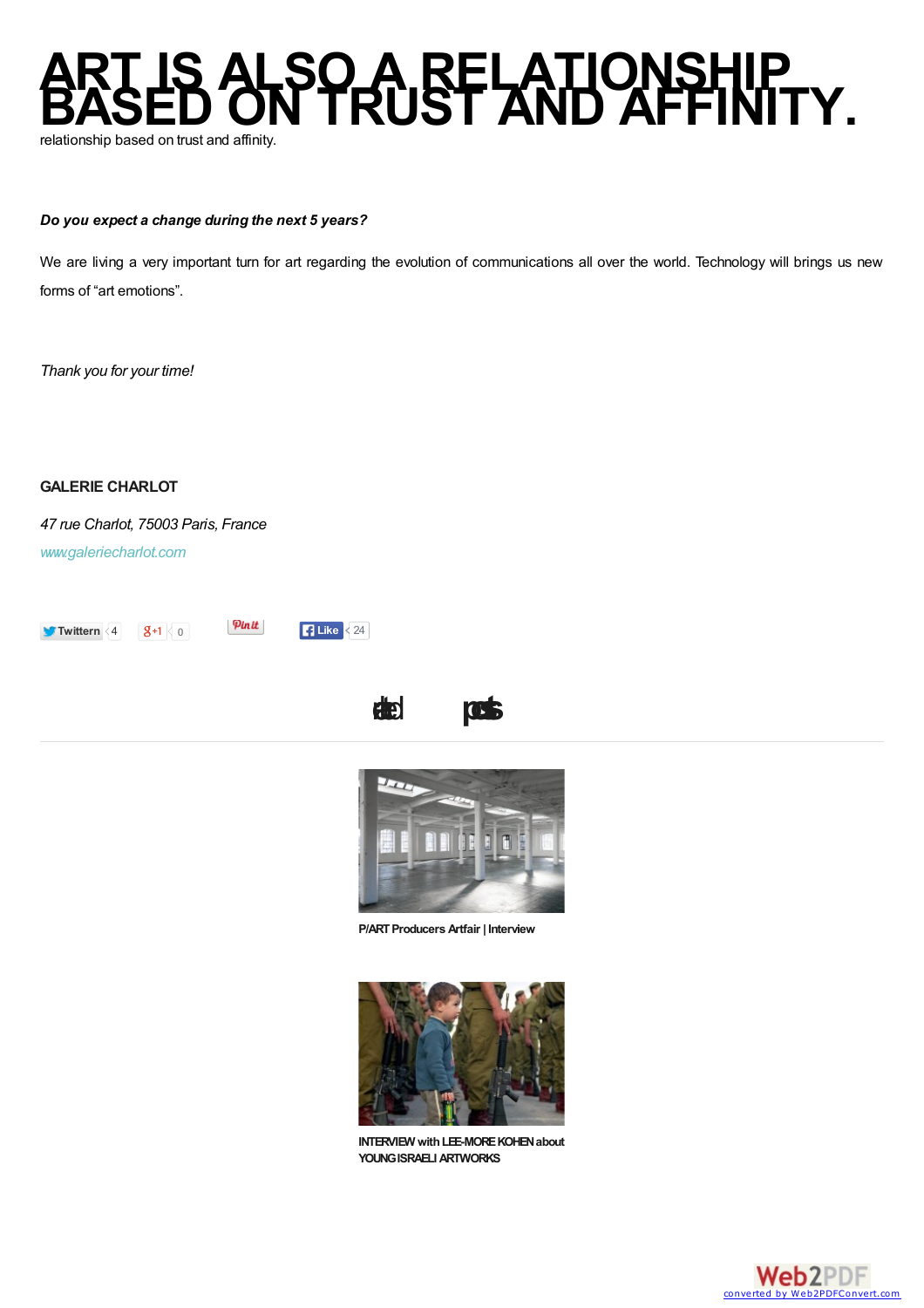

## *Do you expect a change during the next 5 years?*

We are living a very important turn for art regarding the evolution of communications all over the world. Technology will brings us new forms of "art emotions".

*Thank you for your time!*

**GALERIE CHARLOT**

*47 rue Charlot, 75003 Paris, France [www.galeriecharlot.com](http://www.galeriecharlot.com)*



Pinit *<u>Calissing</u>* 

realetd **post**



**[P/ARTProducers](http://www.artandsignature.com/part-producers-artfair-interview/) Artfair | Interview**



**INTERVIEW** with LEE-MORE KOHEN about **YOUNGISRAELIARTWORKS**

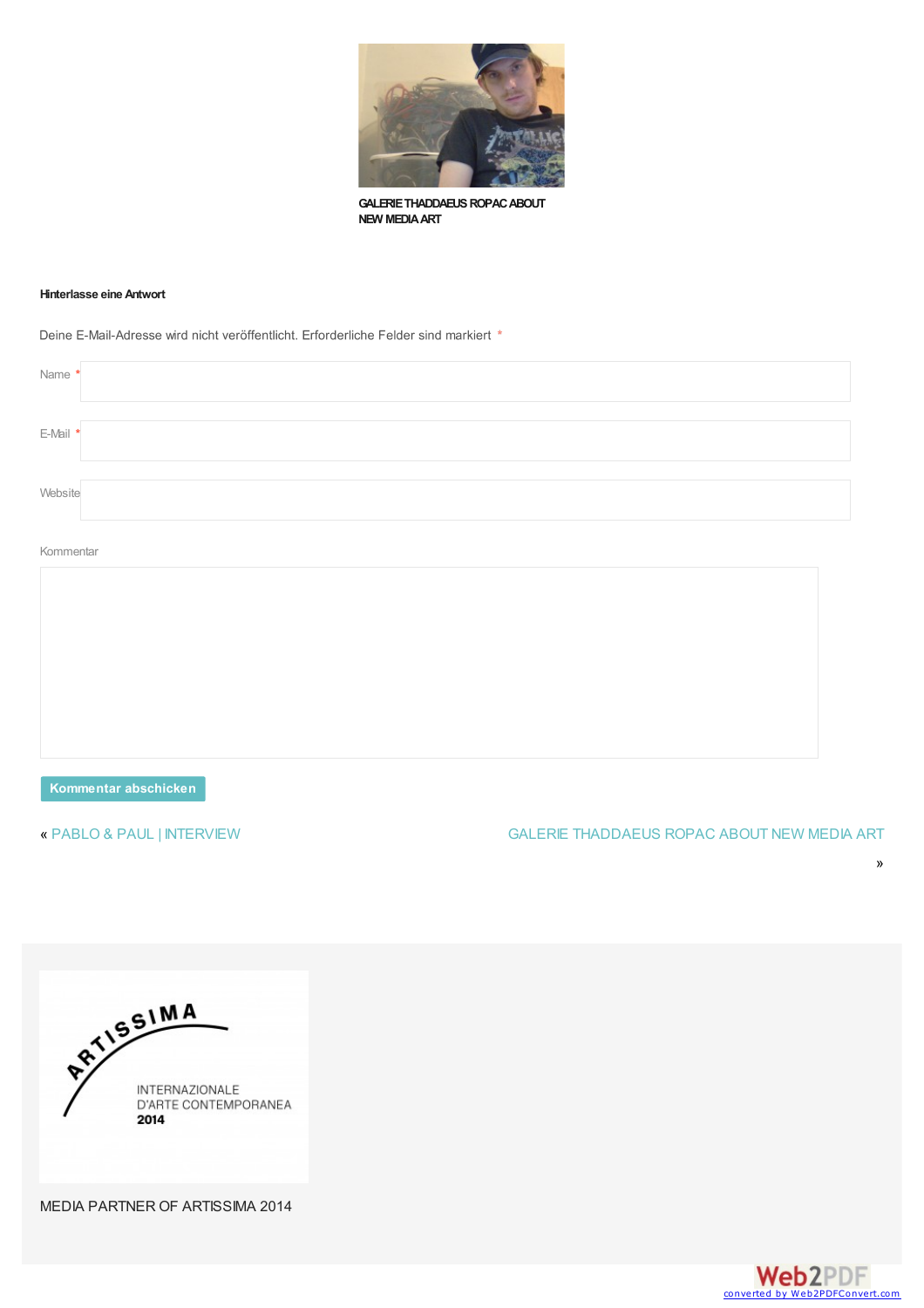<span id="page-3-2"></span><span id="page-3-0"></span>

**GALERIE THADDAEUS ROPAC ABOUT NEW MEDIAART**

#### <span id="page-3-1"></span>**Hinterlasse eine Antwort**

Deine E-Mail-Adresse wird nicht veröffentlicht. Erforderliche Felder sind markiert \*

| E-Mail * | Name * |  |
|----------|--------|--|
|          |        |  |
| Website  |        |  |

#### Kommentar

**Kommentar abschicken**

## « PABLO & PAUL | [INTERVIEW](http://www.artandsignature.com/pablo-paul-interview/) GALERIE [THADDAEUS](http://www.artandsignature.com/galerie-thaddaeus-ropac-new-media-art/) ROPAC ABOUT NEW MEDIA ART





»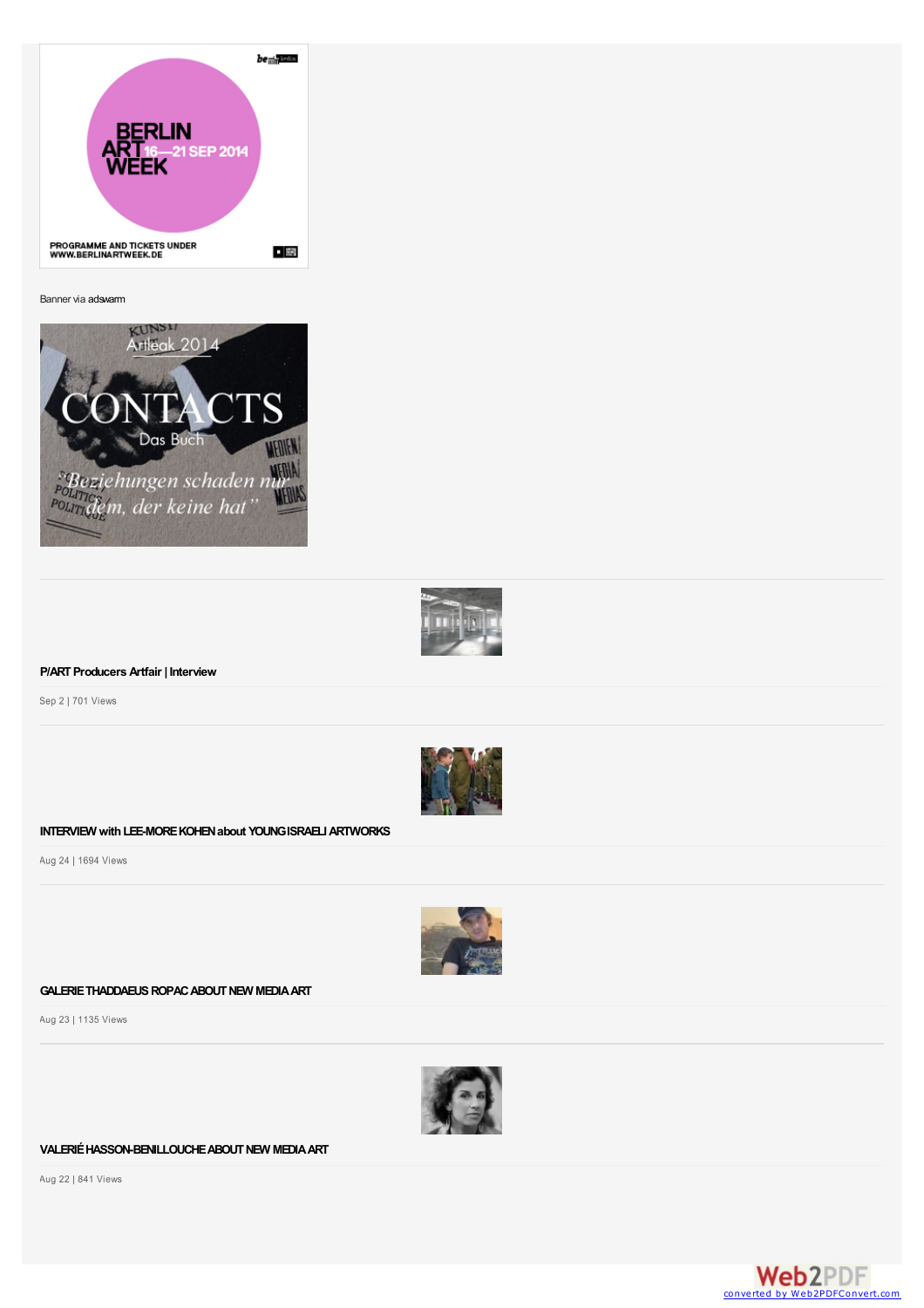| be <sub>min</sub> Balla                                    |  |
|------------------------------------------------------------|--|
| <b>BERLIN</b><br><b>ART</b> <sub>16-21</sub> SEP 2014      |  |
| <b>PROGRAMME AND TICKETS UNDER</b><br>WWW.BERLINARTWEEK.DE |  |

Banner via [adswarm](http://www.adswarm.de)





## **[P/ARTProducers](http://www.artandsignature.com/part-producers-artfair-interview/) Artfair | Interview**

Sep 2 | 701 Views



## **INTERVIEW [withLEE-MOREKOHENabout](http://www.artandsignature.com/interview-lee-kohen-young-israeli-artworks/) YOUNGISRAELIARTWORKS**

Aug 24 | 1694 Views



#### GALERIE THADDAEUS ROPAC ABOUT NEW MEDIA ART

Aug 23 | 1135 Views



## **[VALERIÉHASSON-BENILLOUCHEABOUTNEW](#page-3-2) MEDIAART**

Aug 22 | 841 Views

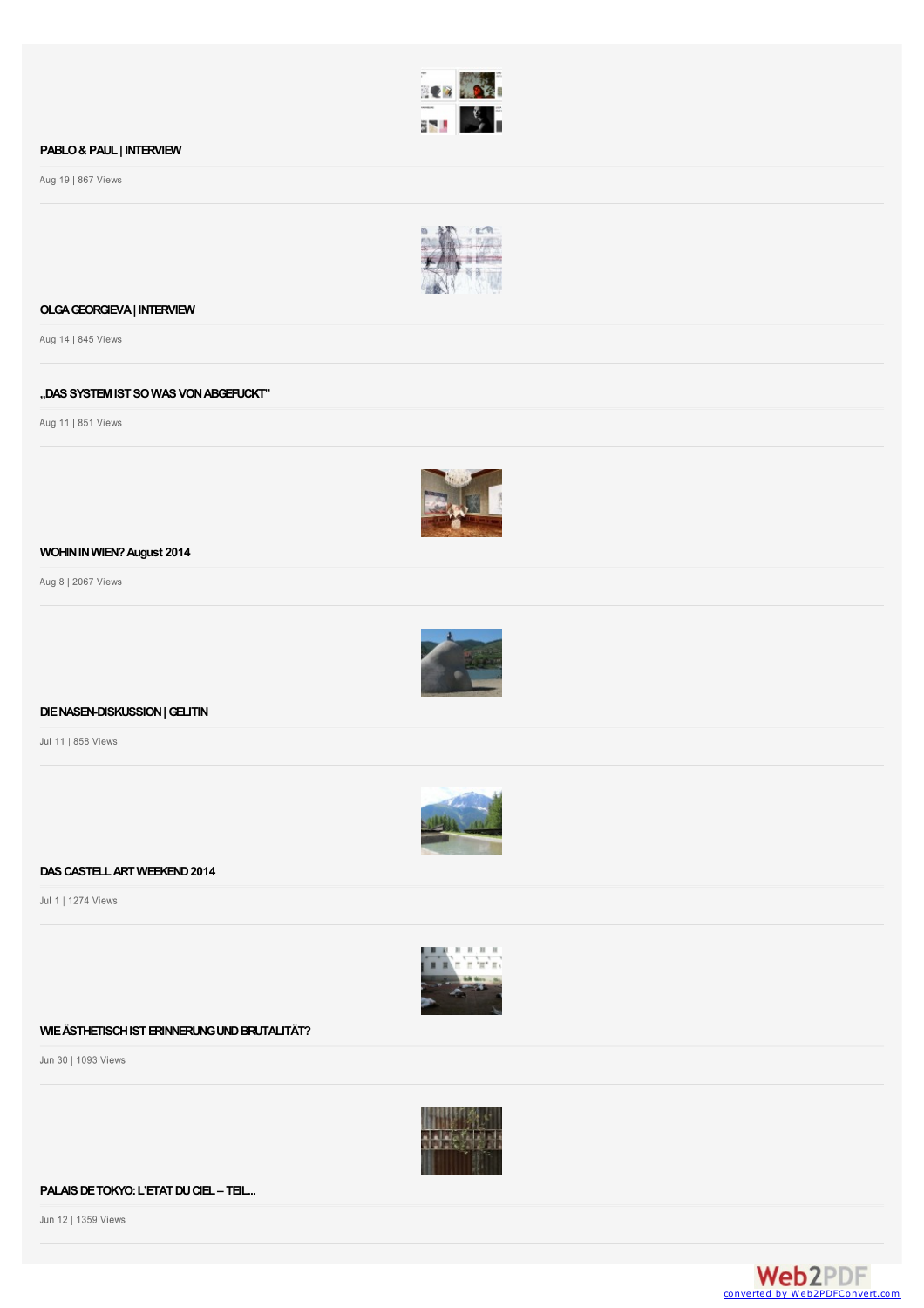

## **[PABLO&PAUL|](http://www.artandsignature.com/pablo-paul-interview/) INTERVIEW**

Aug 19 | 867 Views



## **[OLGAGEORGIEVA|](http://www.artandsignature.com/olga-georgieva-interview/) INTERVIEW**

Aug 14 | 845 Views

## **["DASSYSTEMISTSOWASVONABGEFUCKT"](http://www.artandsignature.com/das-system-ist-von-abgefuckt/)**

Aug 11 | 851 Views



## **[WOHININWIEN?August](http://www.artandsignature.com/wohin-wien-august-2014/) 2014**

Aug 8 | 2067 Views



## **[DIENASEN-DISKUSSION|GELITIN](http://www.artandsignature.com/die-nasen-diskussion-gelitin/)**

Jul 11 | 858 Views



## **[DASCASTELLARTWEEKEND2014](http://www.artandsignature.com/castell-art-weekend-2014/)**

Jul 1 | 1274 Views



## **[WIEÄSTHETISCHISTERINNERUNGUNDBRUTALITÄT?](http://www.artandsignature.com/wie-aesthetisch-ist-erinnerung-und-brutalitaet/)**

Jun 30 | 1093 Views



#### **[PALAISDETOKYO:L'ETATDUCIEL–](http://www.artandsignature.com/palais-de-tokyo-letat-du-ciel-teil-ii/) TEIL...**

Jun 12 | 1359 Views

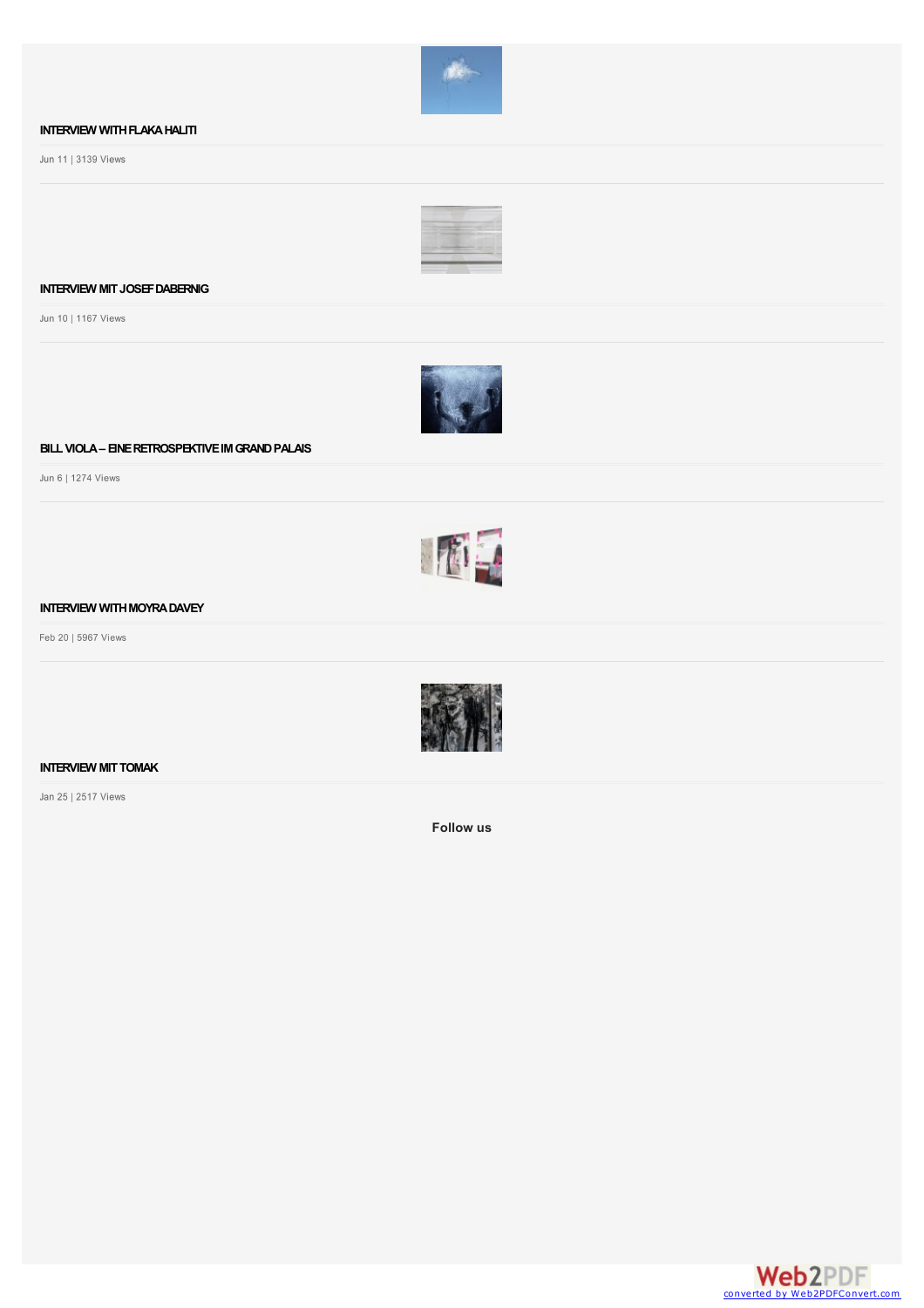

## **INTERVIEW WITH FLAKA HALITI**

Jun 11 | 3139 Views



## **INTERVIEW [MITJOSEFDABERNIG](http://www.artandsignature.com/interview-mit-josef-dabernig/)**

Jun 10 | 1167 Views



#### **BILLVIOLA– [EINERETROSPEKTIVEIMGRANDPALAIS](http://www.artandsignature.com/bill-viola-eine-retrospektive-im-grand-palais/)**

Jun 6 | 1274 Views



## **INTERVIEW WITH MOYRA DAVEY**

Feb 20 | 5967 Views



#### **INTERVIEW MIT TOMAK**

Jan 25 | 2517 Views

**Follow us**